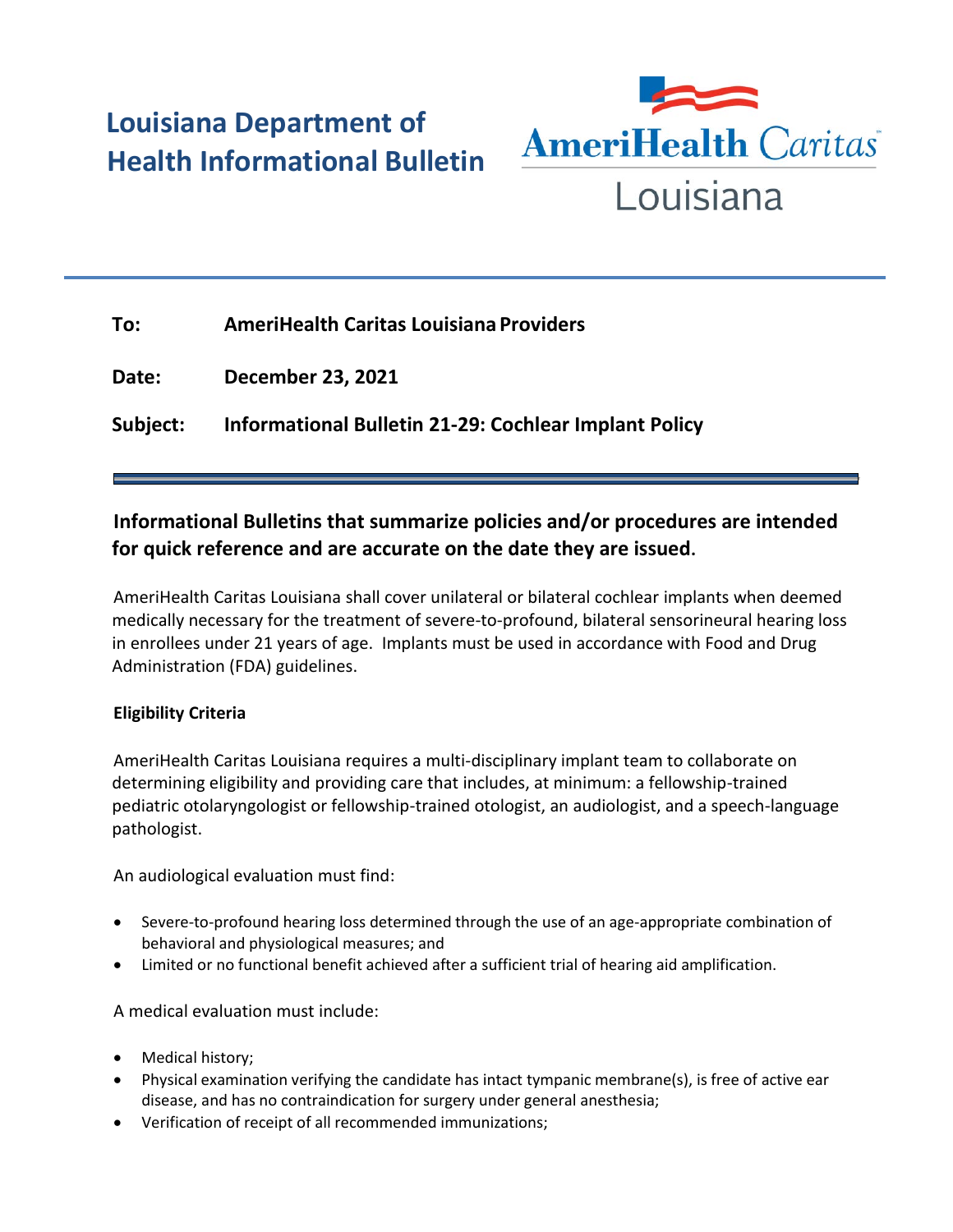# **Louisiana Department of Health Informational Bulletin**



| To:      | <b>AmeriHealth Caritas Louisiana Providers</b>        |
|----------|-------------------------------------------------------|
| Date:    | <b>December 23, 2021</b>                              |
| Subject: | Informational Bulletin 21-29: Cochlear Implant Policy |

## **Informational Bulletins that summarize policies and/or procedures are intended for quick reference and are accurate on the date they are issued.**

AmeriHealth Caritas Louisiana shall cover unilateral or bilateral cochlear implants when deemed medically necessary for the treatment of severe-to-profound, bilateral sensorineural hearing loss in enrollees under 21 years of age. Implants must be used in accordance with Food and Drug Administration (FDA) guidelines.

### **Eligibility Criteria**

AmeriHealth Caritas Louisiana requires a multi-disciplinary implant team to collaborate on determining eligibility and providing care that includes, at minimum: a fellowship-trained pediatric otolaryngologist or fellowship-trained otologist, an audiologist, and a speech-language pathologist.

An audiological evaluation must find:

- Severe-to-profound hearing loss determined through the use of an age-appropriate combination of behavioral and physiological measures; and
- Limited or no functional benefit achieved after a sufficient trial of hearing aid amplification.

A medical evaluation must include:

- Medical history;
- Physical examination verifying the candidate has intact tympanic membrane(s), is free of active ear disease, and has no contraindication for surgery under general anesthesia;
- Verification of receipt of all recommended immunizations;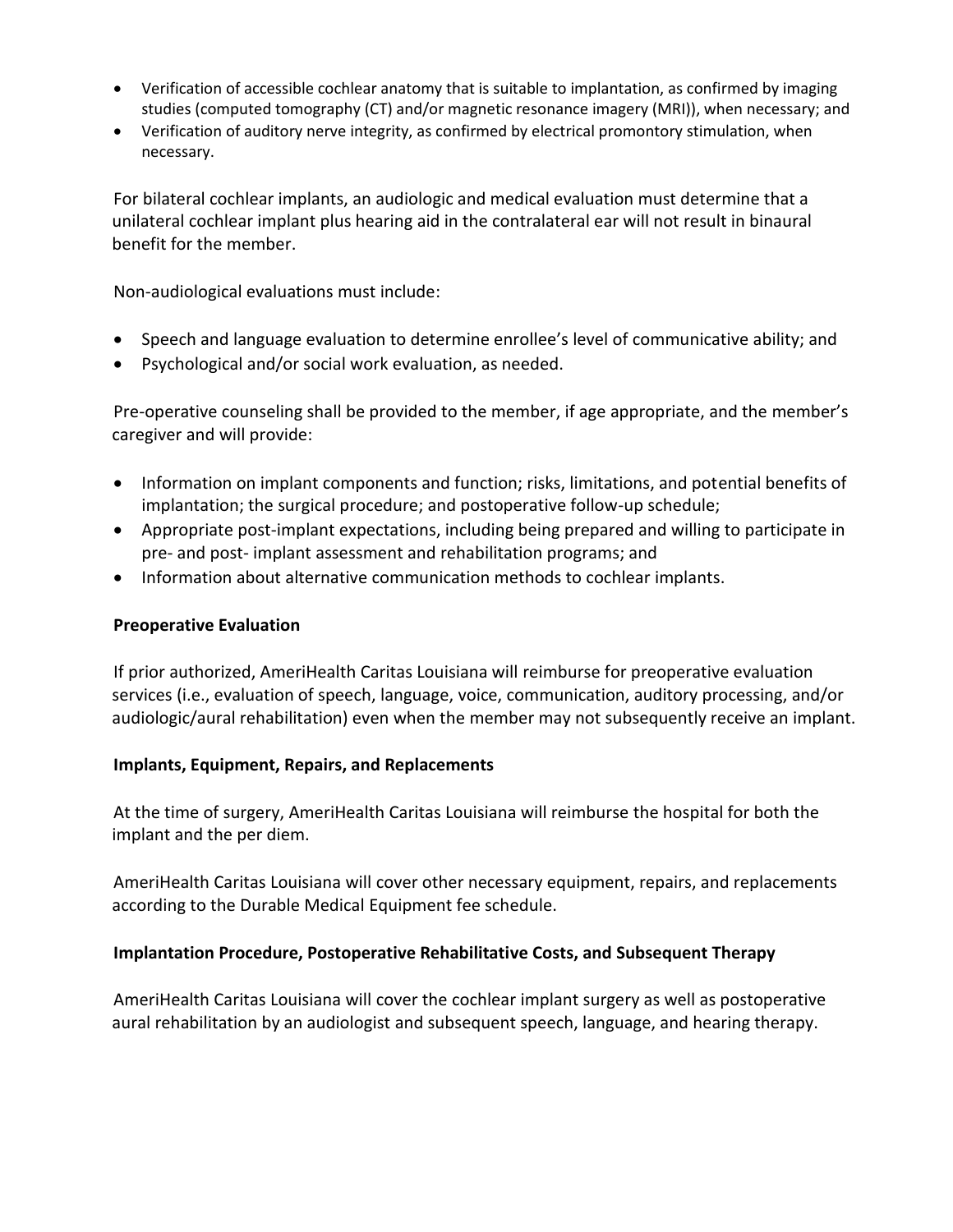- Verification of accessible cochlear anatomy that is suitable to implantation, as confirmed by imaging studies (computed tomography (CT) and/or magnetic resonance imagery (MRI)), when necessary; and
- Verification of auditory nerve integrity, as confirmed by electrical promontory stimulation, when necessary.

For bilateral cochlear implants, an audiologic and medical evaluation must determine that a unilateral cochlear implant plus hearing aid in the contralateral ear will not result in binaural benefit for the member.

Non-audiological evaluations must include:

- Speech and language evaluation to determine enrollee's level of communicative ability; and
- Psychological and/or social work evaluation, as needed.

Pre-operative counseling shall be provided to the member, if age appropriate, and the member's caregiver and will provide:

- Information on implant components and function; risks, limitations, and potential benefits of implantation; the surgical procedure; and postoperative follow-up schedule;
- Appropriate post-implant expectations, including being prepared and willing to participate in pre- and post- implant assessment and rehabilitation programs; and
- Information about alternative communication methods to cochlear implants.

#### **Preoperative Evaluation**

If prior authorized, AmeriHealth Caritas Louisiana will reimburse for preoperative evaluation services (i.e., evaluation of speech, language, voice, communication, auditory processing, and/or audiologic/aural rehabilitation) even when the member may not subsequently receive an implant.

#### **Implants, Equipment, Repairs, and Replacements**

At the time of surgery, AmeriHealth Caritas Louisiana will reimburse the hospital for both the implant and the per diem.

AmeriHealth Caritas Louisiana will cover other necessary equipment, repairs, and replacements according to the Durable Medical Equipment fee schedule.

#### **Implantation Procedure, Postoperative Rehabilitative Costs, and Subsequent Therapy**

AmeriHealth Caritas Louisiana will cover the cochlear implant surgery as well as postoperative aural rehabilitation by an audiologist and subsequent speech, language, and hearing therapy.